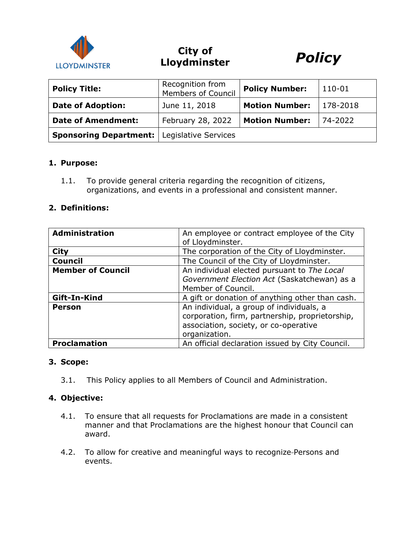

**City of Lloydminster** *Policy*



| <b>Policy Title:</b>                                 | Recognition from<br>Members of Council | <b>Policy Number:</b> | 110-01   |
|------------------------------------------------------|----------------------------------------|-----------------------|----------|
| <b>Date of Adoption:</b>                             | June 11, 2018                          | <b>Motion Number:</b> | 178-2018 |
| <b>Date of Amendment:</b>                            | February 28, 2022                      | <b>Motion Number:</b> | 74-2022  |
| <b>Sponsoring Department:   Legislative Services</b> |                                        |                       |          |

### **1. Purpose:**

1.1. To provide general criteria regarding the recognition of citizens, organizations, and events in a professional and consistent manner.

#### **2. Definitions:**

| <b>Administration</b>    | An employee or contract employee of the City<br>of Lloydminster.                                                                                      |  |
|--------------------------|-------------------------------------------------------------------------------------------------------------------------------------------------------|--|
| <b>City</b>              | The corporation of the City of Lloydminster.                                                                                                          |  |
| <b>Council</b>           | The Council of the City of Lloydminster.                                                                                                              |  |
| <b>Member of Council</b> | An individual elected pursuant to The Local<br>Government Election Act (Saskatchewan) as a<br>Member of Council.                                      |  |
| Gift-In-Kind             | A gift or donation of anything other than cash.                                                                                                       |  |
| <b>Person</b>            | An individual, a group of individuals, a<br>corporation, firm, partnership, proprietorship,<br>association, society, or co-operative<br>organization. |  |
| <b>Proclamation</b>      | An official declaration issued by City Council.                                                                                                       |  |

# **3. Scope:**

3.1. This Policy applies to all Members of Council and Administration.

#### **4. Objective:**

- 4.1. To ensure that all requests for Proclamations are made in a consistent manner and that Proclamations are the highest honour that Council can award.
- 4.2. To allow for creative and meaningful ways to recognize Persons and events.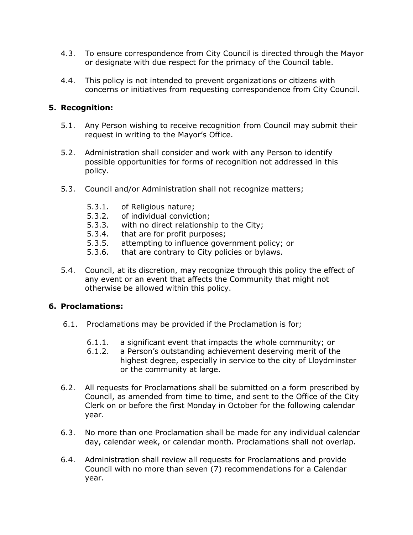- 4.3. To ensure correspondence from City Council is directed through the Mayor or designate with due respect for the primacy of the Council table.
- 4.4. This policy is not intended to prevent organizations or citizens with concerns or initiatives from requesting correspondence from City Council.

# **5. Recognition:**

- 5.1. Any Person wishing to receive recognition from Council may submit their request in writing to the Mayor's Office.
- 5.2. Administration shall consider and work with any Person to identify possible opportunities for forms of recognition not addressed in this policy.
- 5.3. Council and/or Administration shall not recognize matters;
	- 5.3.1. of Religious nature;
	- 5.3.2. of individual conviction;
	- 5.3.3. with no direct relationship to the City;
	- 5.3.4. that are for profit purposes;
	- 5.3.5. attempting to influence government policy; or
	- 5.3.6. that are contrary to City policies or bylaws.
- 5.4. Council, at its discretion, may recognize through this policy the effect of any event or an event that affects the Community that might not otherwise be allowed within this policy.

## **6. Proclamations:**

- 6.1. Proclamations may be provided if the Proclamation is for;
	- 6.1.1. a significant event that impacts the whole community; or
	- 6.1.2. a Person's outstanding achievement deserving merit of the highest degree, especially in service to the city of Lloydminster or the community at large.
- 6.2. All requests for Proclamations shall be submitted on a form prescribed by Council, as amended from time to time, and sent to the Office of the City Clerk on or before the first Monday in October for the following calendar year.
- 6.3. No more than one Proclamation shall be made for any individual calendar day, calendar week, or calendar month. Proclamations shall not overlap.
- 6.4. Administration shall review all requests for Proclamations and provide Council with no more than seven (7) recommendations for a Calendar year.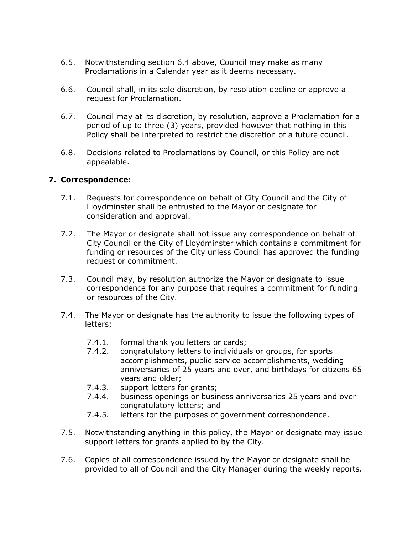- 6.5. Notwithstanding section 6.4 above, Council may make as many Proclamations in a Calendar year as it deems necessary.
- 6.6. Council shall, in its sole discretion, by resolution decline or approve a request for Proclamation.
- 6.7. Council may at its discretion, by resolution, approve a Proclamation for a period of up to three (3) years, provided however that nothing in this Policy shall be interpreted to restrict the discretion of a future council.
- 6.8. Decisions related to Proclamations by Council, or this Policy are not appealable.

### **7. Correspondence:**

- 7.1. Requests for correspondence on behalf of City Council and the City of Lloydminster shall be entrusted to the Mayor or designate for consideration and approval.
- 7.2. The Mayor or designate shall not issue any correspondence on behalf of City Council or the City of Lloydminster which contains a commitment for funding or resources of the City unless Council has approved the funding request or commitment.
- 7.3. Council may, by resolution authorize the Mayor or designate to issue correspondence for any purpose that requires a commitment for funding or resources of the City.
- 7.4. The Mayor or designate has the authority to issue the following types of letters;
	- 7.4.1. formal thank you letters or cards;
	- 7.4.2. congratulatory letters to individuals or groups, for sports accomplishments, public service accomplishments, wedding anniversaries of 25 years and over, and birthdays for citizens 65 years and older;
	- 7.4.3. support letters for grants;
	- 7.4.4. business openings or business anniversaries 25 years and over congratulatory letters; and
	- 7.4.5. letters for the purposes of government correspondence.
- 7.5. Notwithstanding anything in this policy, the Mayor or designate may issue support letters for grants applied to by the City.
- 7.6. Copies of all correspondence issued by the Mayor or designate shall be provided to all of Council and the City Manager during the weekly reports.